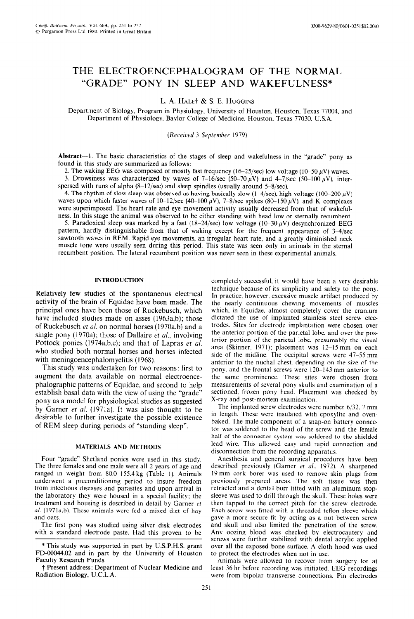# THE ELECTROENCEPHALOGRAM OF THE NORMAL "GRADE" PONY IN SLEEP AND WAKEFULNESS\*

L. A. HALE $\dagger$  & S. E. HUGGINS

Department of Biology, Program in Physiology, University of Houston. Houston, Texas 77004, and Department of Physiology, Baylor College of Medicine, Houston, Texas 77030, U.S.A.

*(Rrceiwd 3 Srpttwhur 1979)* 

Abstract—1. The basic characteristics of the stages of sleep and wakefulness in the "grade" pony as found in this study are summarized as follows:

2. The waking EEG was composed of mostly fast frequency  $(16-25/\text{sec})$  low voltage  $(10-50 \,\mu\text{V})$  waves.

3. Drowsiness was characterized by waves of  $7-16/\text{sec}$  (50-70  $\mu$ V) and 4-7/sec (50-100  $\mu$ V), interspersed with runs of alpha  $(8-12/\text{sec})$  and sleep spindles (usually around 5-8/sec).

4. The rhythm of slow sleep was observed as having basically slow (1-4/sec), high voltage (100-200  $\mu$ V) waves upon which faster waves of  $10-12/\text{sec}$  (40-100  $\mu$ V), 7-8/sec spikes (80-150  $\mu$ V), and K complexes were superimposed. The heart rate and eye movement activity usually decreased from that of wakefulness. In this stage the animal was observed to be either standing with head low or sternally recumbent,

5. Paradoxical sleep was marked by a fast (18-24/sec) low voltage (10-30  $\mu$ V) desynchronized EEG pattern, hardly distinguishable from that of waking except for the frequent appearance of 3-4/sec sawtooth waves in REM. Rapid eye movements, an irregular heart rate, and a greatly diminished neck muscle tone were usually seen during this period. This state was seen only in animals in the sternal recumbent position. The lateral recumbent position was never seen in these experimental animals.

## INTRODUCTION

Relatively few studies of the spontaneous electrical activity of the brain of Equidae have been made. The principal ones have been those of Ruckebusch, which have included studies made on asses (1963a,b); those of Ruckebusch et al. on normal horses (1970a,b) and a single pony (1970a); those of Dallaire *et al.*, involving Pottock ponies (1974a,b,c); and that of Lapras et al. who studied both normal horses and horses infected with meningoencephalomyelitis (1968).

This study was undertaken for two reasons: first to augment the data available on normal electroencephalographic patterns of Equidae. and second to help establish basal data with the view of using the "grade" pony as a model for physiological studies as suggested by Garner et al. (1971a). It was also thought to be desirable to further investigate the possible existence of REM sleep during periods of "standing sleep".

### MATERIALS **AND METHODS**

Four "grade" Shetland ponies were used in this study. The three females and one male were all 2 years of age and ranged in weight from 80.0-155.4 kg (Table 1). Animals underwent a preconditioning period to insure freedom from infectious diseases and parasites and upon arrival in the laboratory they were housed in a special facility; the treatment and housing is described in detail by Garner  $et$ al. (1971a,b). These animals were fed a mixed diet of hay and oats.

The first pony was studied using silver disk electrodes with a standard electrode paste. Had this proven to be

completely successful. it would have been a very desirable technique because of its simplicity and safety to the pony. In practice, however. excessive muscle artifact produced by the nearly continuous chewing movements of muscles which. in Equidae. almost completely cover the cranium dictated the use of implanted stainless steel screw electrodes. Sites for electrode implantation were chosen over the anterior portion of the parietal lobe. and over the posterior portion of the parietal lobe. presumably the visual area (Skinner. 1971); placement was 12-15mm on each side of the midline. The occipital screws were 47-55 mm anterior to the nuchal chest. depending on the size of the pony, and the frontal screws were I?@143 mm anterior to the same prominence. These sites were chosen from measurements of several pony skulls and examination of a sectioned. frozen pony head. Placement was checked by X-ray and post-mortem examination.

The implanted screw electrodes were number 6/32. 7 mm in length. These were insulated with epoxylite and ovenbaked. The male component of a snap-on battery connector was soldered to the head of the screw and the female half of the connector system was soldered to the shielded lead wire. This allowed easy and rapid connection and disconnection from the recording apparatus.

Anesthesia and general surgical procedures have been described previously (Garner et al.. 1972). A sharpened 19 mm cork borer was used to remove skin plugs from previously prepared areas. The soft tissue was then retracted and a dental burr fitted with an aluminum stopsleeve was used to drill through the **skull.** These holes were then tapped to the correct pitch for the screw electrode. Each screw was fitted with a threaded teflon sleeve which gave a more secure fit by acting as a nut between screw and skull and also limited the penetration of the screw. Any oozing blood was checked by electrocautery and screws were further stabilized with dental acrylic applied over all the exposed bone surface. A cloth hood was used to protect the electrodes when not in use.

Animals were allowed to recover from surgery for at least 36 hr before recording was initiated. EEG recordings were from bipolar transverse connections. Pin electrodes

<sup>\*</sup> This study was supported in part by U.S.P.H.S. grant FD-00044.02 and in part by the University of Houston Faculty Research Funds.

t Present address: Department of Nuclear Medicine and Radiation Biology, U.C.L.A.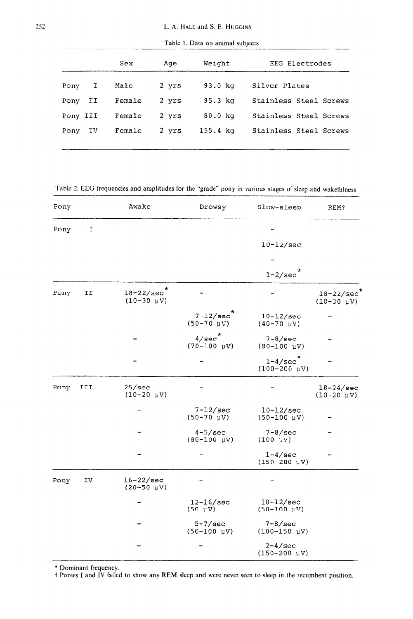|          |    | Sex    | Aqe   | Weight             | EEG Electrodes         |
|----------|----|--------|-------|--------------------|------------------------|
| Pony     | I  | Male   | 2 yrs | $93.0$ $kg$        | Silver Plates          |
| Pony     | IJ | Female | 2 yrs | $95.3$ $kg$        | Stainless Steel Screws |
| Pony III |    | Female | 2 yrs | 80.0 <sub>kg</sub> | Stainless Steel Screws |
| Pony     | IV | Female | 2 yrs | $155.4 \text{ kg}$ | Stainless Steel Screws |
|          |    |        |       |                    |                        |

Table 1. Data on animal subjects

Table 2. EEG frequencies and amplitudes for the "grade" pony in various stages of sleep and wakefulness

| Pony |     | Awake                                          | Drowsy                                           | Slow-sleep                                                  | <b>REM+</b>                      |
|------|-----|------------------------------------------------|--------------------------------------------------|-------------------------------------------------------------|----------------------------------|
| Pony | I   |                                                |                                                  |                                                             |                                  |
|      |     |                                                |                                                  | $10-12/sec$                                                 |                                  |
|      |     |                                                |                                                  |                                                             |                                  |
|      |     |                                                |                                                  | $1 - 2/sec^*$                                               |                                  |
| Pony | II  | $18 - 22/sec$<br>$(10-30 \text{ }\mu\text{V})$ |                                                  |                                                             | $18 - 22/sec$<br>$(10-30 \mu V)$ |
|      |     |                                                | $7-12/sec$<br>$(50-70 \; \mu V)$                 | $10-12/sec$<br>$(40-70 \text{ }\mu\text{V})$                |                                  |
|      |     |                                                | $4/\text{sec}$<br>$(70-100 \text{ }\mu\text{V})$ | $7-8/\text{sec}$<br>$(80-100 \text{ }\mu\text{V})$          |                                  |
|      |     |                                                |                                                  | $\star$<br>$1 - 4/sec$<br>$(100 - 200 \text{ }\mu\text{V})$ |                                  |
| Pony | III | 25/sec<br>$(10-20 \text{ }\mu\text{V})$        |                                                  |                                                             | $18-24/sec$<br>$(10-20 \mu V)$   |
|      |     |                                                | $7-12/sec$<br>$(50-70 \text{ }\mu\text{V})$      | $10-12/sec$<br>$(50-100 \mu V)$                             |                                  |
|      |     |                                                | $4-5/sec$<br>$(80 - 100 \text{ }\mu\text{V})$    | $7 - 8/sec$<br>$(100 \; \mu V)$                             |                                  |
|      |     |                                                |                                                  | $1-4/sec$<br>$(150-200 \mu V)$                              |                                  |
| Pony | ΙV  | $16-22/sec$<br>$(20 - 50 \text{ }\mu\text{V})$ |                                                  |                                                             |                                  |
|      |     |                                                | $12 - 16$ /sec<br>$(50 \, \mu V)$                | $10-12/sec$<br>$(50-100 \text{ }\mu\text{V})$               |                                  |
|      |     |                                                | $5 - 7$ /sec<br>$(50-100 \text{ }\mu\text{V})$   | $7 - 8$ /sec<br>$(100 - 150 \mu V)$                         |                                  |
|      |     |                                                |                                                  | $2 - 4$ /sec<br>$(150 - 200 \text{ }\mu\text{V})$           |                                  |

\*Dominant frequency.

t Ponies I and IV failed to show any REM sleep and were never seen to sieep in the recumbent position.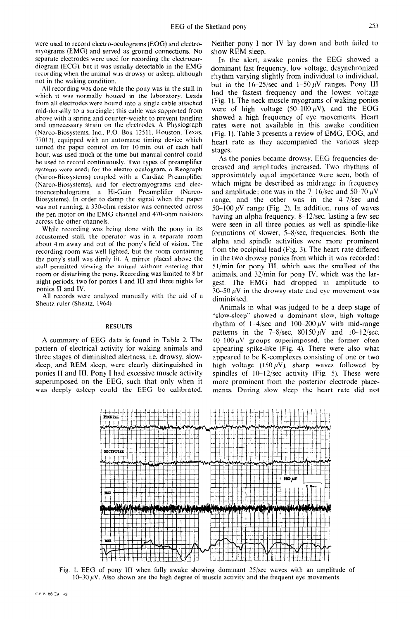were used to record electro-oculograms (EOG) and electromyograms (EMG) and served as ground connections. No separate electrodes were used for recording the electrocardiogram (ECG). but it was usually detectable in the EMG recording when the animal was drowsy or asleep, although not in the waking condition.

All recording was done while the pony was in the stall in which it was normally housed in the laboratory. Leads from all electrodes were hound into a single cable attached mid-dorsally to a surcingle; this cable was supported from above with a spring and counter-weight to prevent tangling and unnecessary strain on the electrodes. A Physiograph (Narco-Biosystems, Inc., P.O. Box 12511, Houston, Texas, 77017). equipped with an automatic timing device which turned the paper control on for 10min out of each half hour. was used much of the time but manual control could be used to record continuously. Two types of preamplifier systems were used: for the electro-oculogram, a Reograph (Narco-Biosystems) coupled with a Cardiac Preamplifier (Narco-Biosystems), and for electromyograms and electroencephalo&rams. a Hi-Gain Preamplifier (Narco-Biosystems). In order to damp the signal when the paper was not running, a 330-ohm resistor was connected across the pen motor on the EMG channel and 470-ohm resistors across the other channels.

While recording was being done with the pony in its accustomed stall, the operator was in a separate room about 4 m away and out of the pony's field of vision. The recording room was well lighted, but the room containing the pony's stall was dimly lit. A mirror placed above the stall permitted viewing the animal without entering that room or disturbing the pony. Recording was limited to 8 hr night periods, two for ponies I and III and three nights for ponies II and IV.

All records were analyzed manually with the aid of a Sheatz ruler (Sheatz, 1964).

# **RESULTS**

A summary of EEG data is found in Table 2. The pattern of electrical activity for waking animals and three stages of diminished alertness. i.e. drowsy, slowsleep, and REM sleep. were clearly distinguished in ponies II and III. Pony I had excessive muscle activity superimposed on the EEG. such that only when it was deeply asleep could the EEG be calibrated. Neither pony I nor IV lay down and both failed to show REM sleep.

In the alert, awake ponies the EEG showed a dominant fast frequency, low voltage, desynchronized rhythm varying slightly from individual to individual. but in the  $16-25/\text{sec}$  and  $1-50 \mu\text{V}$  ranges. Pony III had the fastest frequency and the lowest voltage {Fig. 1). The neck muscle myograms of waking ponies were of high voltage (50--100  $\mu$ V), and the EOG showed a high frequency of eye movements. Heart rates were not available in this awake condition (Fig. 1). Table 3 presents a review of EMG, EOG, and heart rate as they accompanied the various sleep stages.

As the ponies became drowsy, EEG frequencies decreased and amplitudes increased. Two rhythms of approximately equal importance were seen, both of which might be described as midrange in frequency and amplitude; one was in the 7-16/sec and 50-70  $\mu$ V range, and the other was in the  $4-7/\text{sec}$  and 50-100  $\mu$ V range (Fig. 2). In addition, runs of waves having an alpha frequency,  $8-12$ /sec, lasting a few sec were seen in all three ponies, as well as spindle-like formations of slower, 5-8/sec, frequencies. Both the alpha and spindle activities were more prominent from the occipital iead (Fig. 3). The heart rate differed in the two drowsy ponies from which it was recorded: 51/min for pony III, which was the smallest of the animals, and  $32/\text{min}$  for pony IV, which was the largest. The EMG **had** dropped in amplitude to 30–50  $\mu$ V in the drowsy state and eye movement was diminished.

Animals in what was judged to be a deep stage of "slow-sleep" showed a dominant slow, high voltage rhythm of 1-4/sec and 100-200  $\mu$ V with mid-range patterns in the 7-8/sec,  $80150 \mu V$  and  $10-12$ /sec,  $40-100 \mu V$  groups superimposed, the former often appearing spike-like (Fig. 4). There were also Whdt appeared to be K-complexes consisting of one or two high voltage (150  $\mu$ V), sharp waves followed by spindles of  $10-12$ /sec activity (Fig. 5). These were more prominent from the posterior electrode placements. During slow sleep the heart rate did not



Fig. 1. EEG of pony III when fully awake showing dominant 25/sec waves with an amplitude of  $10-30~\mu$ V. Also shown are the high degree of muscle activity and the frequent eye movements.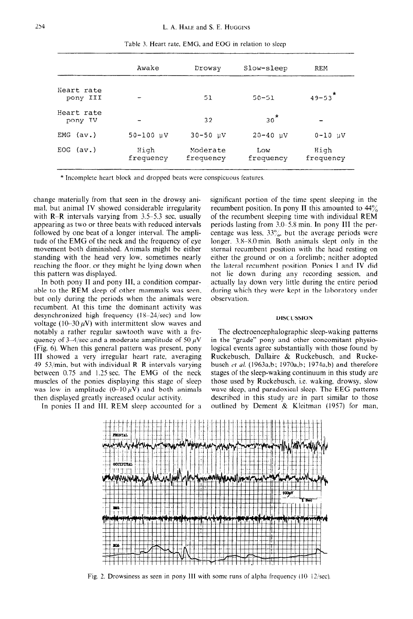|                        | Awake                 | Drowsy                | Slow-sleep        | <b>REM</b>        |
|------------------------|-----------------------|-----------------------|-------------------|-------------------|
| Heart rate<br>pony III |                       | 51                    | $50 - 51$         | $49 - 53$         |
| Heart rate<br>pony IV  |                       | 32                    | $30*$             |                   |
| $EMG$ $(av.)$          | $50 - 100 \text{ uV}$ | $30 - 50$ $\mu$ V     | $20 - 40$ $\mu$ V | $0 - 10$ $\mu$ V  |
| $EOG$ $(av.)$          | High<br>frequency     | Moderate<br>frequency | Low<br>frequency  | High<br>frequency |

Table 3. Heart rate, EMC, and EOG in relation to sleep

\* Incomplete heart block and dropped beats were conspicuous features.

change materially from that seen in the drowsy animal, but animal IV showed considerable irregularity with  $R-R$  intervals varying from 3.5-5.3 sec, usually appearing as two or three beats with reduced intervals followed by one beat of a longer interval. The amplitude of the EMG of the neck and the frequency of eye movement both diminished. Animals might be either standing with the head very low. sometimes nearly reaching the floor. or they might be lying down when this pattern was displayed.

In both pony II and pony III. a condition comparable to the REM sleep of other mammals was seen. but only during the periods when the animals were recumbent, At this time the dominant activity was desynchronized high frequency  $(18-24/\text{sec})$  and low voltage (10-30  $\mu$ V) with intermittent slow waves and notably a rather regular sawtooth wave with a frequency of 3-4/sec and a moderate amplitude of 50  $\mu$ V (Fig. 6). When this general pattern was present, pony III showed a very irregular heart rate. averaging  $49-53$ /min, but with individual R-R intervals varying between 0.75 and 1.25 sec. The EMG of the neck muscles of the ponies displaying this stage of sleep was low in amplitude  $(0-10 \,\mu\text{V})$  and both animals then displayed greatly increased ocular activity.

In ponies II and III. REM sleep accounted for a

significant portion of the time spent sleeping in the recumbent position. In pony II this amounted to  $44\%$ of the recumbent sleeping time with individual REM periods lasting from 3.0–5.8 min. In pony III the percentage was less,  $33\%$ , but the average periods were longer. 3.8–8.0 min. Both animals slept only in the sternal recumbent position with the head resting on either the ground or on a forelimb; neither adopted the lateral recumbent position. Ponies I and IV did not lie down during any recording session, and actually lay down very little during the entire period during which they were kept in the laboratory under observation.

## **DISCUSSION**

The electroencephalographic sleep-waking patterns in the "grade" pony and other concomitant physiological events agree substantially with those found by Ruckebusch, Dallaire & Ruckebusch, and Ruckebusch et al. (1963a,b; 1970a,b; 1974a,b) and therefore stages of the sleep-waking continuum in this study are those used by Ruckebusch, i.e. waking, drowsy, slow wave sleep, and paradoxical sleep. The EEG patterns described in this study are in part similar to those outlined by Dement & Kleitman (1957) for man,



Fig. 2. Drowsiness as seen in pony III with some runs of alpha frequency  $(10 \tcdot 12/\text{sec})$ .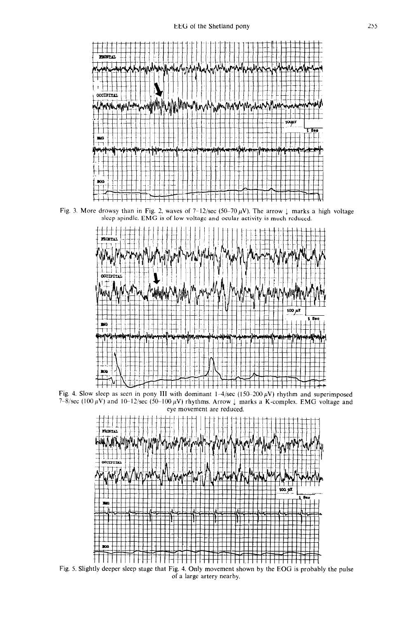

Fig. 3. More drowsy than in Fig. 2, waves of  $7-12/\text{sec}$  (50-70  $\mu$ V). The arrow  $\downarrow$  marks a high voltage sleep spindle. EMG is of low voltage and ocular activity is much reduced.



Fig. 4. Slow sleep as seen in pony III with dominant  $1-4/\text{sec}$  (150-200  $\mu$ V) rhythm and superimposed 7-8/sec (100  $\mu$ V) and 10-12/sec (50-100  $\mu$ V) rhythms. Arrow 1 marks a K-complex. EMG voltage and eye movement are reduced.



Fig. 5. Slightly deeper sleep stage that Fig. 4. Only movement shown by the EOG is probably the pulse of a large artery nearby,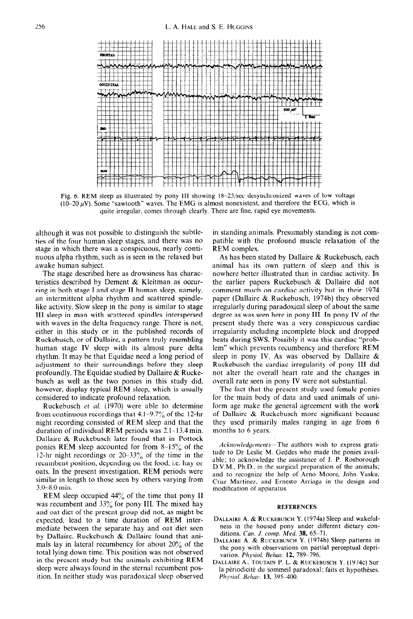

Fig. 6. REM sleep as illustrated by pony III showing 18-25/sec desynchronized waves of low voltage (10–20  $\mu$ V). Some "sawtooth" waves. The EMG is almost nonexistent, and therefore the ECG, which is quite irregular. comes through clearly. There are fine, rapid eye movements.

although it was not possible to distinguish the subtleties of the four human sleep stages, and there *was no*  stage in which there was a conspicuous, nearly continuous alpha rhythm, such as is seen in the relaxed but awake human subject.

The stage described here as drowsiness has characteristics described by Dement & Kleitman as occurring in both stage I and stage II human sleep, namely, an intermittent alpha rhythm and scattered spindlelike activity. Slow sleep in the pony is similar to stage III sleep in man with scattered spindles interspersed with waves in the delta frequency range. There is not, either in this study or in the published records of Ruckebusch, or of Dallaire, a pattern truly resembling human stage IV sleep with its almost pure delta rhythm. It may be that Equidae need a long period of adjustment to their surroundings before they sleep profoundly. The Equidae studied by Dallaire & Ruckebusch as well as the two ponies in this study did, however, display typical REM sleep, which is usually considered to indicate profound relaxation.

Ruckebusch et al. (1970) were able to determine from continuous recordings that  $4.1-9.7\%$  of the 12-hr night recording consisted of REM sleep and that the duration of individual REM periods was 2.1- 13.4 min. Dallaire & Ruckebusch later found that in Pottock ponies REM sleep accounted for from S-15% of the 12-hr night recordings or  $20-33\%$  of the time in the recumbent position, depending on the food, i.e. hay or oats. In the present investigation, REM periods were similar in length to those seen by others varying from 3.0-8.0 min.

REM sleep occupied  $44\%$  of the time that pony II was recumbent and 33% for pony III. The mixed hay and oat diet of the present group did not, as might be expected, lead to a time duration of REM intermediate between the separate hay and oat diet seen by Dallaire. Ruckebusch & Dallaire found that animals lay in lateral recumbency for about  $20\%$  of the total lying down time. This position was not observed in the present study but the animals exhibiting REM sleep were always found in the sternal recumbent position. In neither study was paradoxical sleep observed in standing animals. Presumably standing is not compatible with the profound muscle relaxation of the REM complex.

As has been stated by Dallaire  $& R$ uckebusch, each animal **has** its own pattern of sleep and this is nowhere better illustrated than in cardiac activity. In the earlier papers Ruckebusch & Dallaire did not comment much on cardiac activity but in their 1974 paper (Dallaire & Ruckebusch, 1974b) they observed irregularly during paradoxical sleep of about the same degree as was seen here in pony III. In pony IV of the present study there was a very conspicuous cardiac irregularity including incomplete block and dropped beats during SWS. Possibly it was this cardiac "problem" which prevents recumbency and therefore REM sleep in pony IV. As was observed by Dallaire & Ruckebusch the cardiac irregularity of pony III did not alter the overall heart rate and the changes in overall rate seen in pony IV were not substantial.

The fact that the present study used female ponies for the main body of data and used animals of uniform age make the general agreement with the work of Dallaire & Ruckebusch more significant because they used primarily males ranging in age from 6 months to 6 years.

Acknowledgements-- The authors wish to express gratitude to Dr Leslie M. Geddes who made the ponies available; to acknowledge the assistance of J. P. Rosborough D.V.M., Ph.D.. in the surgical preparation of the animals; and to recognize the help of Arno Moore. John Vasku, Cruz Martinez. and Ernest0 Arriaga in the design and modification of apparatus.

### REFERENCES

- DALLAIRE A. & RUCKEBUSCH Y. (1974a) Sleep and wakefulness in the housed pony under different dietary conditions. *Can. J. comp. Med.* 38, 65-71.
- DALLAIRE A. & RUCKEBUSCH Y. (1974b) Sleep patterns in the pony with observations on partial perceptual deprivation. *Physiol. Behac. 12, 789.. 796.*
- DALLAIRE A., TOUTAIN P. L. & RUCKEBUSCH Y. (1974c) Sur la périodicité du sommeil paradoxal: faits et hypothèses. *Phj5ioi. Beltar.* 13, 395-400.